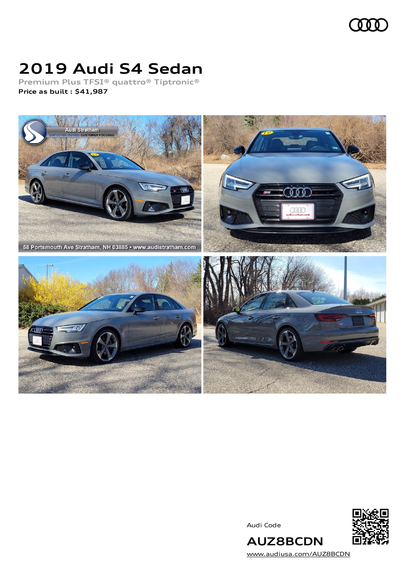

## **2019 Audi S4 Sedan**

**Premium Plus TFSI® quattro® Tiptronic® Price as built [:](#page-8-0) \$41,987**



Audi Code



[www.audiusa.com/AUZ8BCDN](https://www.audiusa.com/AUZ8BCDN)

**AUZ8BCDN**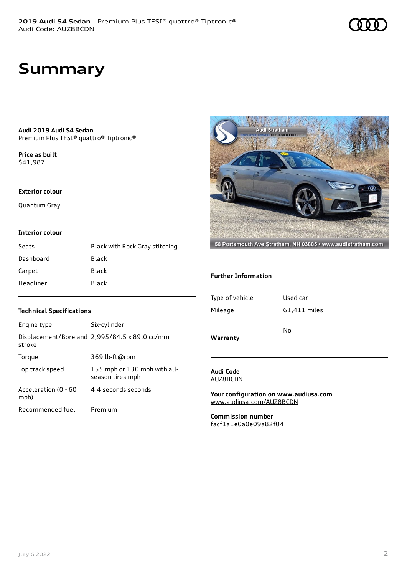## **Summary**

**Audi 2019 Audi S4 Sedan** Premium Plus TFSI® quattro® Tiptronic®

**Price as buil[t](#page-8-0)** \$41,987

#### **Exterior colour**

Quantum Gray

#### **Interior colour**

| Seats     | Black with Rock Gray stitching |
|-----------|--------------------------------|
| Dashboard | Black                          |
| Carpet    | Black                          |
| Headliner | Black                          |



#### **Further Information**

| Warranty        | No           |
|-----------------|--------------|
|                 |              |
| Mileage         | 61,411 miles |
|                 |              |
| Type of vehicle | Used car     |
|                 |              |

#### **Audi Code** AUZ8BCDN

**Your configuration on www.audiusa.com** [www.audiusa.com/AUZ8BCDN](https://www.audiusa.com/AUZ8BCDN)

**Commission number** facf1a1e0a0e09a82f04

#### **Technical Specifications**

| Engine type                  | Six-cylinder                                     |
|------------------------------|--------------------------------------------------|
| stroke                       | Displacement/Bore and 2,995/84.5 x 89.0 cc/mm    |
| Torque                       | 369 lb-ft@rpm                                    |
| Top track speed              | 155 mph or 130 mph with all-<br>season tires mph |
| Acceleration (0 - 60<br>mph) | 4.4 seconds seconds                              |
| Recommended fuel             | Premium                                          |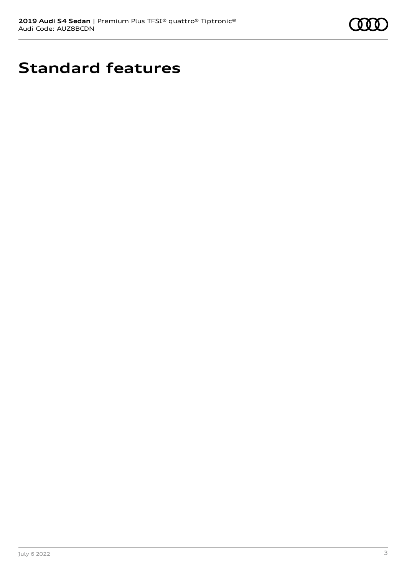

# **Standard features**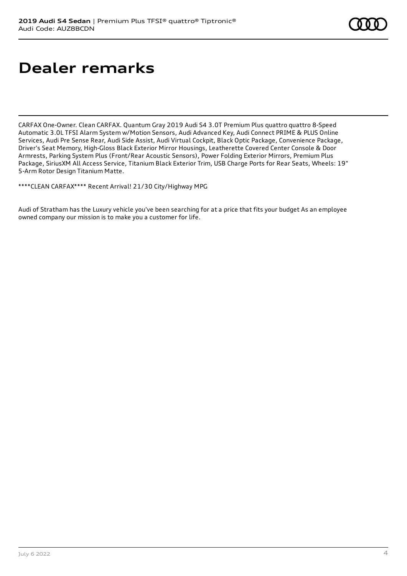# **Dealer remarks**

CARFAX One-Owner. Clean CARFAX. Quantum Gray 2019 Audi S4 3.0T Premium Plus quattro quattro 8-Speed Automatic 3.0L TFSI Alarm System w/Motion Sensors, Audi Advanced Key, Audi Connect PRIME & PLUS Online Services, Audi Pre Sense Rear, Audi Side Assist, Audi Virtual Cockpit, Black Optic Package, Convenience Package, Driver's Seat Memory, High-Gloss Black Exterior Mirror Housings, Leatherette Covered Center Console & Door Armrests, Parking System Plus (Front/Rear Acoustic Sensors), Power Folding Exterior Mirrors, Premium Plus Package, SiriusXM All Access Service, Titanium Black Exterior Trim, USB Charge Ports for Rear Seats, Wheels: 19" 5-Arm Rotor Design Titanium Matte.

\*\*\*\*CLEAN CARFAX\*\*\*\* Recent Arrival! 21/30 City/Highway MPG

Audi of Stratham has the Luxury vehicle you've been searching for at a price that fits your budget As an employee owned company our mission is to make you a customer for life.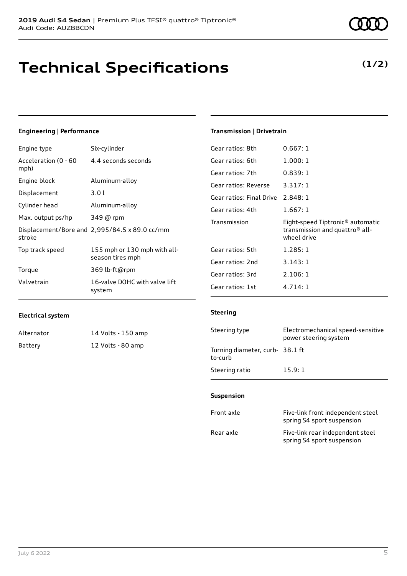## **Technical Specifications**

### Engine type Six-cylinder

**Engineering | Performance**

| Acceleration (0 - 60<br>mph) | 4.4 seconds seconds                              |
|------------------------------|--------------------------------------------------|
| Engine block                 | Aluminum-alloy                                   |
| Displacement                 | 3.0 l                                            |
| Cylinder head                | Aluminum-alloy                                   |
| Max. output ps/hp            | 349 @ rpm                                        |
| stroke                       | Displacement/Bore and 2,995/84.5 x 89.0 cc/mm    |
| Top track speed              | 155 mph or 130 mph with all-<br>season tires mph |
| Torque                       | 369 lb-ft@rpm                                    |
| Valvetrain                   | 16-valve DOHC with valve lift<br>system          |

### **Transmission | Drivetrain**

| Gear ratios: 8th                  | 0.667:1                                                                                                   |
|-----------------------------------|-----------------------------------------------------------------------------------------------------------|
| Gear ratios: 6th                  | 1.000:1                                                                                                   |
| Gear ratios: 7th                  | 0.839:1                                                                                                   |
| Gear ratios: Reverse              | 3.317:1                                                                                                   |
| Gear ratios: Final Drive 2.848: 1 |                                                                                                           |
| Gear ratios: 4th                  | 1.667:1                                                                                                   |
|                                   |                                                                                                           |
| Transmission                      | Eight-speed Tiptronic <sup>®</sup> automatic<br>transmission and quattro <sup>®</sup> all-<br>wheel drive |
| Gear ratios: 5th                  | 1.285:1                                                                                                   |
| Gear ratios: 2nd                  | 3.143:1                                                                                                   |
| Gear ratios: 3rd                  | 2.106:1                                                                                                   |

#### **Electrical system**

| Alternator | 14 Volts - 150 amp |
|------------|--------------------|
| Battery    | 12 Volts - 80 amp  |

#### **Steering**

| Steering type                             | Electromechanical speed-sensitive<br>power steering system |
|-------------------------------------------|------------------------------------------------------------|
| Turning diameter, curb-38.1 ft<br>to-curb |                                                            |
| Steering ratio                            | 15.9:1                                                     |

#### **Suspension**

| Front axle | Five-link front independent steel<br>spring S4 sport suspension |
|------------|-----------------------------------------------------------------|
| Rear axle  | Five-link rear independent steel<br>spring S4 sport suspension  |

### **(1/2)**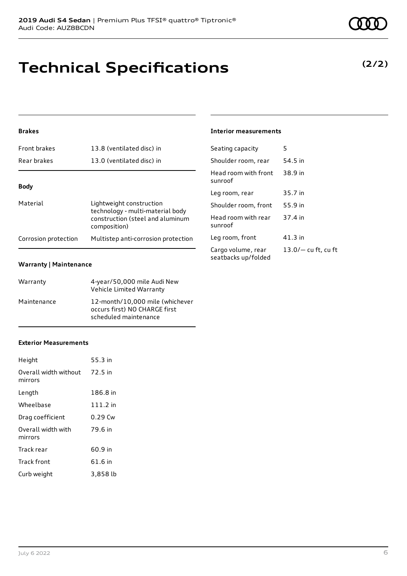### **Brakes**

| <b>Front brakes</b>  | 13.8 (ventilated disc) in                                                                                        |
|----------------------|------------------------------------------------------------------------------------------------------------------|
| Rear brakes          | 13.0 (ventilated disc) in                                                                                        |
|                      |                                                                                                                  |
| <b>Body</b>          |                                                                                                                  |
| Material             | Lightweight construction<br>technology - multi-material body<br>construction (steel and aluminum<br>composition) |
| Corrosion protection | Multistep anti-corrosion protection                                                                              |
|                      |                                                                                                                  |

#### **Warranty | Maintenance**

| Warranty    | 4-year/50,000 mile Audi New<br>Vehicle Limited Warranty                                   |
|-------------|-------------------------------------------------------------------------------------------|
| Maintenance | 12-month/10.000 mile (whichever<br>occurs first) NO CHARGE first<br>scheduled maintenance |

#### **Exterior Measurements**

| Height                           | 55.3 in   |
|----------------------------------|-----------|
| Overall width without<br>mirrors | 72.5 in   |
| Length                           | 186.8 in  |
| Wheelbase                        | 111.2 in  |
| Drag coefficient                 | $0.29$ Cw |
| Overall width with<br>mirrors    | 79.6 in   |
| Track rear                       | 60.9 in   |
| Track front                      | 61.6 in   |
| Curb weight                      | 3,858 lb  |

**Technical Specifications**

### **(2/2)**

#### **Interior measurements**

| Seating capacity                          | 5                     |
|-------------------------------------------|-----------------------|
| Shoulder room, rear                       | 54.5 in               |
| Head room with front<br>sunroof           | 38.9 in               |
| Leg room, rear                            | 35.7 in               |
| Shoulder room, front                      | 55.9 in               |
| Head room with rear<br>sunroof            | 37.4 in               |
| Leg room, front                           | $41.3$ in             |
| Cargo volume, rear<br>seatbacks up/folded | $13.0/-$ cu ft, cu ft |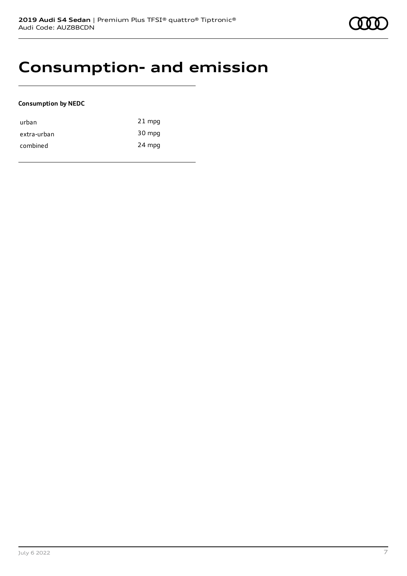### **Consumption- and emission**

#### **Consumption by NEDC**

| urban       | $21$ mpg |
|-------------|----------|
| extra-urban | 30 mpg   |
| combined    | 24 mpg   |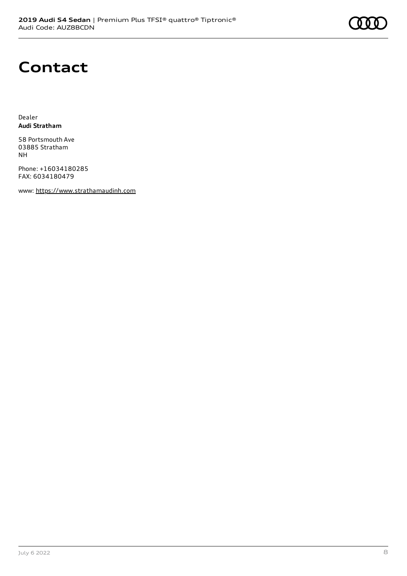# **Contact**

Dealer **Audi Stratham**

58 Portsmouth Ave 03885 Stratham NH

Phone: +16034180285 FAX: 6034180479

www: [https://www.strathamaudinh.com](https://www.strathamaudinh.com/)